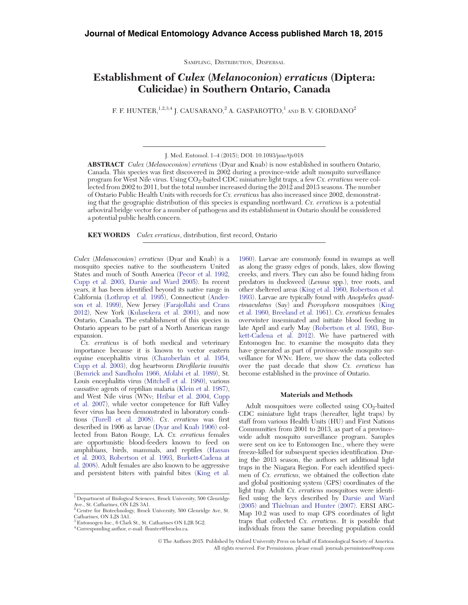SAMPLING, DISTRIBUTION, DISPERSAL

# Establishment of Culex (Melanoconion) erraticus (Diptera: Culicidae) in Southern Ontario, Canada

F. F. HUNTER,  $1,2,3,4$  J. CAUSARANO,  $2$  A. GASPAROTTO,  $1$  and B. V. GIORDANO<sup>2</sup>

ABSTRACT Culex (Melanoconion) erraticus (Dyar and Knab) is now established in southern Ontario, Canada. This species was first discovered in 2002 during a province-wide adult mosquito surveillance program for West Nile virus. Using CO2-baited CDC miniature light traps, a few Cx. erraticus were collected from 2002 to 2011, but the total number increased during the 2012 and 2013 seasons. The number of Ontario Public Health Units with records for Cx. erraticus has also increased since 2002, demonstrating that the geographic distribution of this species is expanding northward. Cx. erraticus is a potential arboviral bridge vector for a number of pathogens and its establishment in Ontario should be considered a potential public health concern.

KEY WORDS Culex erraticus, distribution, first record, Ontario

Culex (Melanoconion) erraticus (Dyar and Knab) is a mosquito species native to the southeastern United States and much of South America (Pecor et al. 1992, Cupp et al. 2003, Darsie and Ward 2005). In recent years, it has been identified beyond its native range in California (Lothrop et al. 1995), Connecticut (Anderson et al. 1999), New Jersey (Farajollahi and Crans 2012), New York (Kulasekera et al. 2001), and now Ontario, Canada. The establishment of this species in Ontario appears to be part of a North American range expansion.

Cx. erraticus is of both medical and veterinary importance because it is known to vector eastern equine encephalitis virus (Chamberlain et al. 1954, Cupp et al. 2003), dog heartworm Dirofilaria immitis (Bemrick and Sandholm 1966, Afolabi et al. 1989), St. Louis encephalitis virus (Mitchell et al. 1980), various causative agents of reptilian malaria (Klein et al. 1987), and West Nile virus (WNv; Hribar et al. 2004, Cupp et al. 2007), while vector competence for Rift Valley fever virus has been demonstrated in laboratory conditions (Turell et al. 2008). Cx. erraticus was first described in 1906 as larvae (Dyar and Knab 1906) collected from Baton Rouge, LA. Cx. erraticus females are opportunistic blood-feeders known to feed on amphibians, birds, mammals, and reptiles (Hassan et al. 2003, Robertson et al. 1993, Burkett-Cadena at al. 2008). Adult females are also known to be aggressive and persistent biters with painful bites (King et al.

1960). Larvae are commonly found in swamps as well as along the grassy edges of ponds, lakes, slow flowing creeks, and rivers. They can also be found hiding from predators in duckweed (Lemna spp.), tree roots, and other sheltered areas (King et al. 1960, Robertson et al. 1993). Larvae are typically found with Anopheles quadrimaculatus (Say) and Psorophora mosquitoes (King et al. 1960, Breeland et al. 1961). Cx. erraticus females overwinter inseminated and initiate blood feeding in late April and early May (Robertson et al. 1993, Burkett-Cadena et al. 2012). We have partnered with Entomogen Inc. to examine the mosquito data they have generated as part of province-wide mosquito surveillance for WNv. Here, we show the data collected over the past decade that show Cx. erraticus has become established in the province of Ontario.

## Materials and Methods

Adult mosquitoes were collected using  $CO<sub>2</sub>$ -baited CDC miniature light traps (hereafter, light traps) by staff from various Health Units (HU) and First Nations Communities from 2001 to 2013, as part of a provincewide adult mosquito surveillance program. Samples were sent on ice to Entomogen Inc., where they were freeze-killed for subsequent species identification. During the 2013 season, the authors set additional light traps in the Niagara Region. For each identified specimen of Cx. erraticus, we obtained the collection date and global positioning system (GPS) coordinates of the light trap. Adult Cx. erraticus mosquitoes were identified using the keys described by Darsie and Ward (2005) and Thielman and Hunter (2007). ERSI ARC-Map 10.2 was used to map GPS coordinates of light traps that collected Cx. erraticus. It is possible that individuals from the same breeding population could

V<sup>C</sup> The Authors 2015. Published by Oxford University Press on behalf of Entomological Society of America. All rights reserved. For Permissions, please email: journals.permissions@oup.com

J. Med. Entomol. 1–4 (2015); DOI: 10.1093/jme/tjv018

<sup>1</sup> Department of Biological Sciences, Brock University, 500 Glenridge Ave., St. Catharines, ON L2S 3A1. <sup>2</sup> Centre for Biotechnology, Brock University, 500 Glenridge Ave, St.

Catharines, ON L2S 3A1.

<sup>3</sup> Entomogen Inc., 6 Clark St., St. Catharines ON L2R 5G2. <sup>4</sup> Corresponding author, e-mail: fhunter@brocku.ca.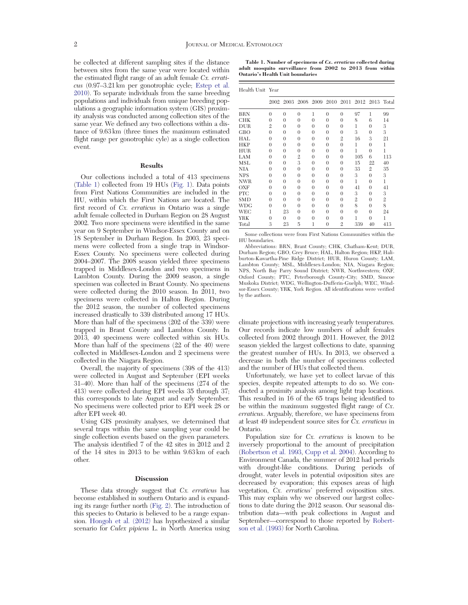be collected at different sampling sites if the distance between sites from the same year were located within the estimated flight range of an adult female Cx. erraticus (0.97–3.21 km per gonotrophic cycle; Estep et al. 2010). To separate individuals from the same breeding populations and individuals from unique breeding populations a geographic information system (GIS) proximity analysis was conducted among collection sites of the same year. We defined any two collections within a distance of 9.63 km (three times the maximum estimated flight range per gonotrophic cyle) as a single collection event.

### Results

Our collections included a total of 413 specimens (Table 1) collected from 19 HUs (Fig. 1). Data points from First Nations Communities are included in the HU, within which the First Nations are located. The first record of Cx. erraticus in Ontario was a single adult female collected in Durham Region on 28 August 2002. Two more specimens were identified in the same year on 9 September in Windsor-Essex County and on 18 September in Durham Region. In 2003, 23 specimens were collected from a single trap in Windsor-Essex County. No specimens were collected during 2004–2007. The 2008 season yielded three specimens trapped in Middlesex-London and two specimens in Lambton County. During the 2009 season, a single specimen was collected in Brant County. No specimens were collected during the 2010 season. In 2011, two specimens were collected in Halton Region. During the 2012 season, the number of collected specimens increased drastically to 339 distributed among 17 HUs. More than half of the specimens (202 of the 339) were trapped in Brant County and Lambton County. In 2013, 40 specimens were collected within six HUs. More than half of the specimens (22 of the 40) were collected in Middlesex-London and 2 specimens were collected in the Niagara Region.

Overall, the majority of specimens (398 of the 413) were collected in August and September (EPI weeks 31–40). More than half of the specimens (274 of the 413) were collected during EPI weeks 35 through 37; this corresponds to late August and early September. No specimens were collected prior to EPI week 28 or after EPI week 40.

Using GIS proximity analyses, we determined that several traps within the same sampling year could be single collection events based on the given parameters. The analysis identified 7 of the 42 sites in 2012 and 2 of the 14 sites in 2013 to be within 9.63 km of each other.

#### Discussion

These data strongly suggest that Cx. erraticus has become established in southern Ontario and is expanding its range further north (Fig. 2). The introduction of this species to Ontario is believed to be a range expansion. Hongoh et al. (2012) has hypothesized a similar scenario for Culex pipiens L. in North America using

Table 1. Number of specimens of Cx. erraticus collected during adult mosquito surveillance from 2002 to 2013 from within Ontario's Health Unit boundaries

Health Unit Year

|            | 2002           |          | 2003 2008 2009 2010 2011 |          |                |                |                | 2012 2013 Total |                |
|------------|----------------|----------|--------------------------|----------|----------------|----------------|----------------|-----------------|----------------|
| BRN        | $\theta$       | $\theta$ | $\theta$                 | 1        | $\theta$       | $\theta$       | 97             | 1               | 99             |
| CHK        | $\theta$       | $\theta$ | $\theta$                 | $\theta$ | $\theta$       | $\theta$       | 8              | 6               | 14             |
| DUR        | $\overline{2}$ | $\theta$ | $\theta$                 | $\theta$ | $\theta$       | $\theta$       | $\mathbf{1}$   | $\theta$        | 3              |
| GBO        | $\theta$       | $\theta$ | $\theta$                 | $\theta$ | $\theta$       | $\theta$       | 3              | $\theta$        | 3              |
| HAL        | $\theta$       | $\theta$ | $\theta$                 | $\theta$ | $\overline{0}$ | $\overline{2}$ | 16             | 3               | 21             |
| <b>HKP</b> | $\theta$       | $\theta$ | $\theta$                 | $\theta$ | $\theta$       | $\theta$       | $\mathbf{1}$   | $\theta$        | 1              |
| HUR        | $\theta$       | $\theta$ | $\theta$                 | $\theta$ | $\theta$       | $\theta$       | 1              | $\theta$        | 1              |
| LAM        | $\theta$       | $\theta$ | $\overline{2}$           | $\theta$ | $\theta$       | $\theta$       | 105            | 6               | 113            |
| MSL        | $\theta$       | $\theta$ | 3                        | $\theta$ | $\theta$       | $\theta$       | 15             | 22              | 40             |
| NIA        | $\theta$       | $\theta$ | $\theta$                 | $\theta$ | $\theta$       | $\theta$       | 33             | 2               | 35             |
| <b>NPS</b> | $\theta$       | $\theta$ | $\theta$                 | $\theta$ | $\theta$       | $\theta$       | 3              | $\theta$        | 3              |
| <b>NWR</b> | $\theta$       | $\theta$ | $\theta$                 | $\theta$ | $\theta$       | $\Omega$       | $\mathbf{1}$   | $\theta$        | 1              |
| OXF        | $\theta$       | $\theta$ | $\theta$                 | $\theta$ | $\theta$       | $\theta$       | 41             | $\theta$        | 41             |
| PTC        | $\theta$       | $\theta$ | $\theta$                 | $\theta$ | $\theta$       | $\theta$       | 3              | $\theta$        | 3              |
| SMD        | $\theta$       | $\theta$ | $\theta$                 | $\theta$ | $\theta$       | $\theta$       | $\overline{2}$ | $\theta$        | $\mathfrak{2}$ |
| WDG        | $\theta$       | $\theta$ | $\theta$                 | $\theta$ | $\theta$       | $\theta$       | 8              | $\theta$        | 8              |
| WEC        | 1              | 23       | $\theta$                 | $\theta$ | $\theta$       | $\theta$       | $\overline{0}$ | $\theta$        | 24             |
| YRK        | $\theta$       | $\Omega$ | $\theta$                 | $\theta$ | $\theta$       | $\theta$       | 1              | $\theta$        | 1              |
| Total      | 3              | 23       | 5                        | 1        | $\theta$       | $\mathfrak{2}$ | 339            | 40              | 413            |

Some collections were from First Nations Communities within the HU boundaries.

Abbreviations: BRN, Brant County; CHK, Chatham-Kent; DUR, Durham Region; GBO, Grey Bruce; HAL, Halton Region; HKP, Haliburton-Kawartha-Pine Ridge District; HUR, Huron County; LAM, Lambton County; MSL, Middlesex-London; NIA, Niagara Region; NPS, North Bay Parry Sound District; NWR, Northwestern; OXF, Oxford County; PTC, Peterborough County-City; SMD, Simcoe Muskoka District; WDG, Wellington-Dufferin-Guelph; WEC, Windsor-Essex County; YRK, York Region. All identifications were verified by the authors.

climate projections with increasing yearly temperatures. Our records indicate low numbers of adult females collected from 2002 through 2011. However, the 2012 season yielded the largest collections to date, spanning the greatest number of HUs. In 2013, we observed a decrease in both the number of specimens collected and the number of HUs that collected them.

Unfortunately, we have yet to collect larvae of this species, despite repeated attempts to do so. We conducted a proximity analysis among light trap locations. This resulted in 16 of the 65 traps being identified to be within the maximum suggested flight range of Cx. erraticus. Arguably, therefore, we have specimens from at least 49 independent source sites for Cx. erraticus in Ontario.

Population size for Cx. erraticus is known to be inversely proportional to the amount of precipitation (Robertson et al. 1993, Cupp et al. 2004). According to Environment Canada, the summer of 2012 had periods with drought-like conditions. During periods of drought, water levels in potential oviposition sites are decreased by evaporation; this exposes areas of high vegetation, Cx. erraticus' preferred oviposition sites. This may explain why we observed our largest collections to date during the 2012 season. Our seasonal distribution data—with peak collections in August and September—correspond to those reported by Robertson et al. (1993) for North Carolina.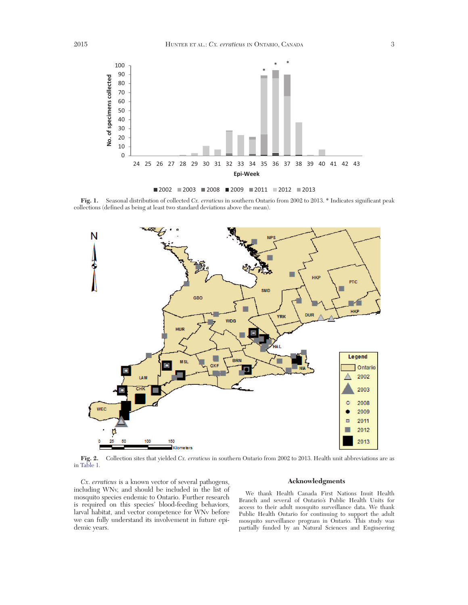



Fig. 1. Seasonal distribution of collected Cx. erraticus in southern Ontario from 2002 to 2013. \* Indicates significant peak collections (defined as being at least two standard deviations above the mean).



Collection sites that yielded Cx. erraticus in southern Ontario from 2002 to 2013. Health unit abbreviations are as Fig. 2.<br>in Table 1.

Cx. erraticus is a known vector of several pathogens, including WNv, and should be included in the list of mosquito species endemic to Ontario. Further research is required on this species' blood-feeding behaviors, larval habitat, and vector competence for WNv before we can fully understand its involvement in future epidemic years.

## Acknowledgments

We thank Health Canada First Nations Inuit Health Branch and several of Ontario's Public Health Units for access to their adult mosquito surveillance data. We thank Public Health Ontario for continuing to support the adult mosquito surveillance program in Ontario. This study was partially funded by an Natural Sciences and Engineering